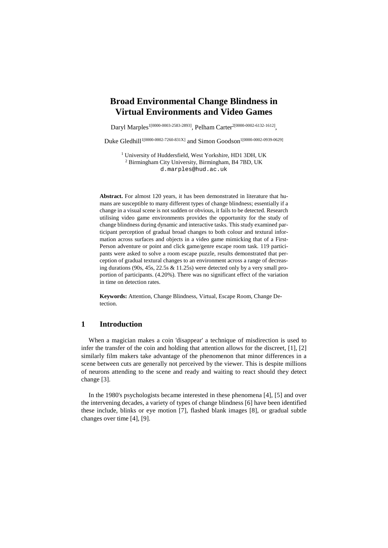# **Broad Environmental Change Blindness in Virtual Environments and Video Games**

Daryl Marples<sup>1[0000-0003-2583-2893]</sup>, Pelham Carter<sup>2[0000-0002-6132-1612]</sup>,

Duke Gledhill<sup>1[0000-0002-7260-831X]</sup> and Simon Goodson<sup>1[0000-0002-0939-0629]</sup>

<sup>1</sup> University of Huddersfield, West Yorkshire, HD1 3DH, UK <sup>2</sup> Birmingham City University, Birmingham, B4 7BD, UK d.marples@hud.ac.uk

**Abstract.** For almost 120 years, it has been demonstrated in literature that humans are susceptible to many different types of change blindness; essentially if a change in a visual scene is not sudden or obvious, it fails to be detected. Research utilising video game environments provides the opportunity for the study of change blindness during dynamic and interactive tasks. This study examined participant perception of gradual broad changes to both colour and textural information across surfaces and objects in a video game mimicking that of a First-Person adventure or point and click game/genre escape room task. 119 participants were asked to solve a room escape puzzle, results demonstrated that perception of gradual textural changes to an environment across a range of decreasing durations (90s, 45s, 22.5s & 11.25s) were detected only by a very small proportion of participants. (4.20%). There was no significant effect of the variation in time on detection rates.

**Keywords:** Attention, Change Blindness, Virtual, Escape Room, Change Detection.

## **1 Introduction**

When a magician makes a coin 'disappear' a technique of misdirection is used to infer the transfer of the coin and holding that attention allows for the discreet, [1], [2] similarly film makers take advantage of the phenomenon that minor differences in a scene between cuts are generally not perceived by the viewer. This is despite millions of neurons attending to the scene and ready and waiting to react should they detect change [3].

In the 1980's psychologists became interested in these phenomena [4], [5] and over the intervening decades, a variety of types of change blindness [6] have been identified these include, blinks or eye motion [7], flashed blank images [8], or gradual subtle changes over time [4], [9].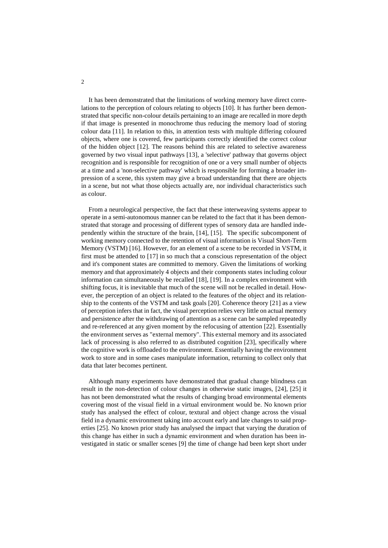It has been demonstrated that the limitations of working memory have direct correlations to the perception of colours relating to objects [10]. It has further been demonstrated that specific non-colour details pertaining to an image are recalled in more depth if that image is presented in monochrome thus reducing the memory load of storing colour data [11]. In relation to this, in attention tests with multiple differing coloured objects, where one is covered, few participants correctly identified the correct colour of the hidden object [12]. The reasons behind this are related to selective awareness governed by two visual input pathways [13], a 'selective' pathway that governs object recognition and is responsible for recognition of one or a very small number of objects at a time and a 'non-selective pathway' which is responsible for forming a broader impression of a scene, this system may give a broad understanding that there are objects in a scene, but not what those objects actually are, nor individual characteristics such as colour.

From a neurological perspective, the fact that these interweaving systems appear to operate in a semi-autonomous manner can be related to the fact that it has been demonstrated that storage and processing of different types of sensory data are handled independently within the structure of the brain, [14], [15]. The specific subcomponent of working memory connected to the retention of visual information is Visual Short-Term Memory (VSTM) [16]. However, for an element of a scene to be recorded in VSTM, it first must be attended to [17] in so much that a conscious representation of the object and it's component states are committed to memory. Given the limitations of working memory and that approximately 4 objects and their components states including colour information can simultaneously be recalled [18], [19]. In a complex environment with shifting focus, it is inevitable that much of the scene will not be recalled in detail. However, the perception of an object is related to the features of the object and its relationship to the contents of the VSTM and task goals [20]. Coherence theory [21] as a view of perception infers that in fact, the visual perception relies very little on actual memory and persistence after the withdrawing of attention as a scene can be sampled repeatedly and re-referenced at any given moment by the refocusing of attention [22]. Essentially the environment serves as "external memory". This external memory and its associated lack of processing is also referred to as distributed cognition [23], specifically where the cognitive work is offloaded to the environment. Essentially having the environment work to store and in some cases manipulate information, returning to collect only that data that later becomes pertinent.

Although many experiments have demonstrated that gradual change blindness can result in the non-detection of colour changes in otherwise static images, [24], [25] it has not been demonstrated what the results of changing broad environmental elements covering most of the visual field in a virtual environment would be. No known prior study has analysed the effect of colour, textural and object change across the visual field in a dynamic environment taking into account early and late changes to said properties [25]. No known prior study has analysed the impact that varying the duration of this change has either in such a dynamic environment and when duration has been investigated in static or smaller scenes [9] the time of change had been kept short under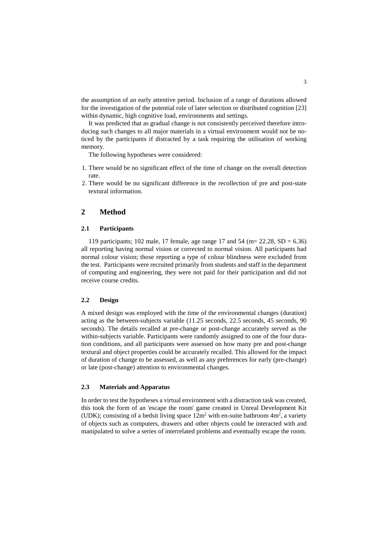the assumption of an early attentive period. Inclusion of a range of durations allowed for the investigation of the potential role of later selection or distributed cognition [23] within dynamic, high cognitive load, environments and settings.

It was predicted that as gradual change is not consistently perceived therefore introducing such changes to all major materials in a virtual environment would not be noticed by the participants if distracted by a task requiring the utilisation of working memory.

The following hypotheses were considered:

- 1. There would be no significant effect of the time of change on the overall detection rate.
- 2. There would be no significant difference in the recollection of pre and post-state textural information.

## **2 Method**

#### **2.1 Participants**

119 participants; 102 male, 17 female, age range 17 and 54 (m= 22.28, SD = 6.36) all reporting having normal vision or corrected to normal vision. All participants had normal colour vision; those reporting a type of colour blindness were excluded from the test. Participants were recruited primarily from students and staff in the department of computing and engineering, they were not paid for their participation and did not receive course credits.

#### **2.2 Design**

A mixed design was employed with the time of the environmental changes (duration) acting as the between-subjects variable (11.25 seconds, 22.5 seconds, 45 seconds, 90 seconds). The details recalled at pre-change or post-change accurately served as the within-subjects variable. Participants were randomly assigned to one of the four duration conditions, and all participants were assessed on how many pre and post-change textural and object properties could be accurately recalled. This allowed for the impact of duration of change to be assessed, as well as any preferences for early (pre-change) or late (post-change) attention to environmental changes.

#### **2.3 Materials and Apparatus**

In order to test the hypotheses a virtual environment with a distraction task was created, this took the form of an 'escape the room' game created in Unreal Development Kit (UDK); consisting of a bedsit living space  $12m^2$  with en-suite bathroom  $4m^2$ , a variety of objects such as computers, drawers and other objects could be interacted with and manipulated to solve a series of interrelated problems and eventually escape the room.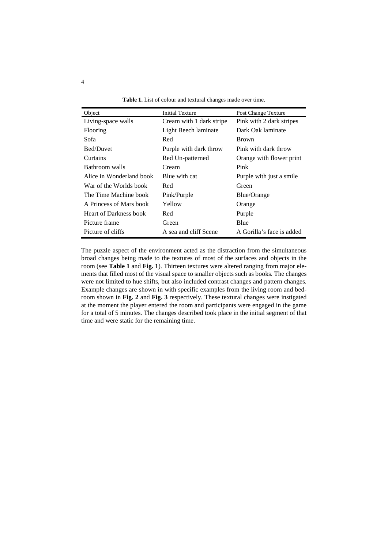<span id="page-3-0"></span>

| Object                   | <b>Initial Texture</b>   | Post Change Texture       |
|--------------------------|--------------------------|---------------------------|
| Living-space walls       | Cream with 1 dark stripe | Pink with 2 dark stripes  |
| <b>Flooring</b>          | Light Beech laminate     | Dark Oak laminate         |
| Sofa                     | Red                      | <b>Brown</b>              |
| Bed/Duvet                | Purple with dark throw   | Pink with dark throw      |
| Curtains                 | Red Un-patterned         | Orange with flower print  |
| Bathroom walls           | Cream                    | Pink                      |
| Alice in Wonderland book | Blue with cat            | Purple with just a smile  |
| War of the Worlds book   | Red                      | Green                     |
| The Time Machine book    | Pink/Purple              | <b>Blue/Orange</b>        |
| A Princess of Mars book  | Yellow                   | Orange                    |
| Heart of Darkness book   | Red                      | Purple                    |
| Picture frame            | Green                    | Blue                      |
| Picture of cliffs        | A sea and cliff Scene    | A Gorilla's face is added |

The puzzle aspect of the environment acted as the distraction from the simultaneous broad changes being made to the textures of most of the surfaces and objects in the room (see **[Table 1](#page-3-0)** and **[Fig. 1](#page-4-0)**). Thirteen textures were altered ranging from major elements that filled most of the visual space to smaller objects such as books. The changes were not limited to hue shifts, but also included contrast changes and pattern changes. Example changes are shown in with specific examples from the living room and bedroom shown in **[Fig. 2](#page-4-1)** and **[Fig. 3](#page-4-2)** respectively. These textural changes were instigated at the moment the player entered the room and participants were engaged in the game for a total of 5 minutes. The changes described took place in the initial segment of that time and were static for the remaining time.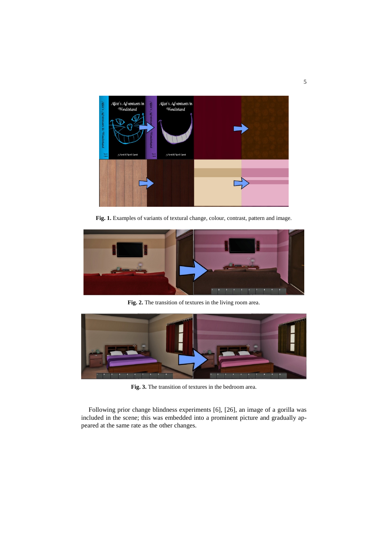

Fig. 1. Examples of variants of textural change, colour, contrast, pattern and image.

<span id="page-4-0"></span>

**Fig. 2.** The transition of textures in the living room area.

<span id="page-4-1"></span>

**Fig. 3.** The transition of textures in the bedroom area.

<span id="page-4-2"></span>Following prior change blindness experiments [6], [26], an image of a gorilla was included in the scene; this was embedded into a prominent picture and gradually appeared at the same rate as the other changes.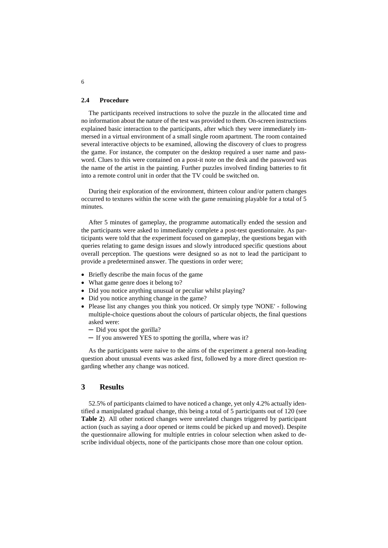#### **2.4 Procedure**

The participants received instructions to solve the puzzle in the allocated time and no information about the nature of the test was provided to them. On-screen instructions explained basic interaction to the participants, after which they were immediately immersed in a virtual environment of a small single room apartment. The room contained several interactive objects to be examined, allowing the discovery of clues to progress the game. For instance, the computer on the desktop required a user name and password. Clues to this were contained on a post-it note on the desk and the password was the name of the artist in the painting. Further puzzles involved finding batteries to fit into a remote control unit in order that the TV could be switched on.

During their exploration of the environment, thirteen colour and/or pattern changes occurred to textures within the scene with the game remaining playable for a total of 5 minutes.

After 5 minutes of gameplay, the programme automatically ended the session and the participants were asked to immediately complete a post-test questionnaire. As participants were told that the experiment focused on gameplay, the questions began with queries relating to game design issues and slowly introduced specific questions about overall perception. The questions were designed so as not to lead the participant to provide a predetermined answer. The questions in order were;

- Briefly describe the main focus of the game
- What game genre does it belong to?
- Did you notice anything unusual or peculiar whilst playing?
- Did you notice anything change in the game?
- Please list any changes you think you noticed. Or simply type 'NONE' following multiple-choice questions about the colours of particular objects, the final questions asked were:
	- ─ Did you spot the gorilla?
	- ─ If you answered YES to spotting the gorilla, where was it?

As the participants were naive to the aims of the experiment a general non-leading question about unusual events was asked first, followed by a more direct question regarding whether any change was noticed.

## **3 Results**

52.5% of participants claimed to have noticed a change, yet only 4.2% actually identified a manipulated gradual change, this being a total of 5 participants out of 120 (see **[Table 2](#page-6-0)**). All other noticed changes were unrelated changes triggered by participant action (such as saying a door opened or items could be picked up and moved). Despite the questionnaire allowing for multiple entries in colour selection when asked to describe individual objects, none of the participants chose more than one colour option.

6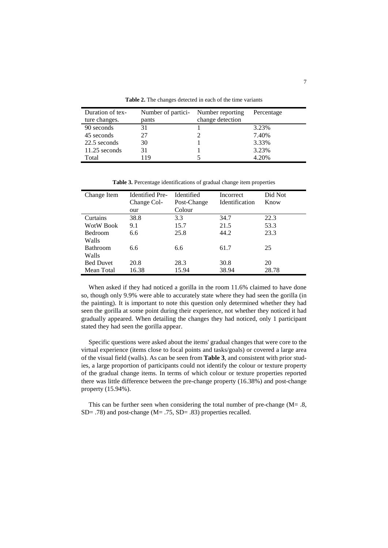<span id="page-6-0"></span>

| Duration of tex-<br>ture changes. | Number of partici-<br>pants | Number reporting<br>change detection | Percentage |
|-----------------------------------|-----------------------------|--------------------------------------|------------|
| 90 seconds                        | 31                          |                                      | 3.23%      |
| 45 seconds                        | 27                          |                                      | 7.40%      |
| 22.5 seconds                      | 30                          |                                      | 3.33%      |
| $11.25$ seconds                   | 31                          |                                      | 3.23%      |
| Total                             | 119                         |                                      | 4.20%      |

**Table 2.** The changes detected in each of the time variants

**Table 3.** Percentage identifications of gradual change item properties

<span id="page-6-1"></span>

| Change Item      | <b>Identified Pre-</b><br>Change Col- | Identified<br>Post-Change | Incorrect<br><b>Identification</b> | Did Not<br>Know |
|------------------|---------------------------------------|---------------------------|------------------------------------|-----------------|
|                  | our                                   | Colour                    |                                    |                 |
| Curtains         | 38.8                                  | 3.3                       | 34.7                               | 22.3            |
| WotW Book        | 9.1                                   | 15.7                      | 21.5                               | 53.3            |
| <b>Bedroom</b>   | 6.6                                   | 25.8                      | 44.2                               | 23.3            |
| Walls            |                                       |                           |                                    |                 |
| <b>Bathroom</b>  | 6.6                                   | 6.6                       | 61.7                               | 25              |
| Walls            |                                       |                           |                                    |                 |
| <b>Bed Duvet</b> | 20.8                                  | 28.3                      | 30.8                               | 20              |
| Mean Total       | 16.38                                 | 15.94                     | 38.94                              | 28.78           |

When asked if they had noticed a gorilla in the room 11.6% claimed to have done so, though only 9.9% were able to accurately state where they had seen the gorilla (in the painting). It is important to note this question only determined whether they had seen the gorilla at some point during their experience, not whether they noticed it had gradually appeared. When detailing the changes they had noticed, only 1 participant stated they had seen the gorilla appear.

Specific questions were asked about the items' gradual changes that were core to the virtual experience (items close to focal points and tasks/goals) or covered a large area of the visual field (walls). As can be seen from **[Table 3](#page-6-1)**, and consistent with prior studies, a large proportion of participants could not identify the colour or texture property of the gradual change items. In terms of which colour or texture properties reported there was little difference between the pre-change property (16.38%) and post-change property (15.94%).

This can be further seen when considering the total number of pre-change (M= .8, SD= .78) and post-change (M= .75, SD= .83) properties recalled.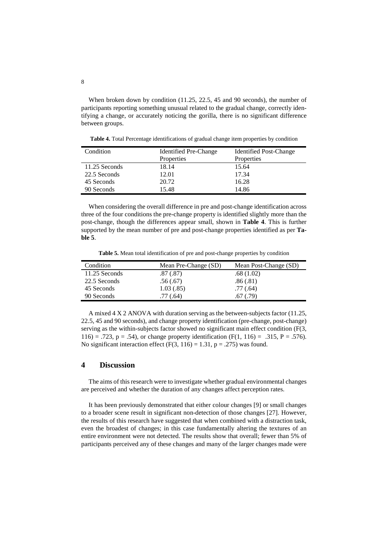When broken down by condition (11.25, 22.5, 45 and 90 seconds), the number of participants reporting something unusual related to the gradual change, correctly identifying a change, or accurately noticing the gorilla, there is no significant difference between groups.

| Condition     | Identified Pre-Change | <b>Identified Post-Change</b> |
|---------------|-----------------------|-------------------------------|
|               | Properties            | Properties                    |
| 11.25 Seconds | 18.14                 | 15.64                         |
| 22.5 Seconds  | 12.01                 | 17.34                         |
| 45 Seconds    | 20.72                 | 16.28                         |
| 90 Seconds    | 15.48                 | 14.86                         |

<span id="page-7-0"></span>**Table 4.** Total Percentage identifications of gradual change item properties by condition

When considering the overall difference in pre and post-change identification across three of the four conditions the pre-change property is identified slightly more than the post-change, though the differences appear small, shown in **[Table 4](#page-7-0)**. This is further supported by the mean number of pre and post-change properties identified as per **[Ta](#page-7-1)[ble 5](#page-7-1)**.

**Table 5.** Mean total identification of pre and post-change properties by condition

<span id="page-7-1"></span>

| Condition     | Mean Pre-Change (SD) | Mean Post-Change (SD) |
|---------------|----------------------|-----------------------|
| 11.25 Seconds | .87(.87)             | .68(1.02)             |
| 22.5 Seconds  | .56(.67)             | .86(.81)              |
| 45 Seconds    | 1.03(.85)            | .77(.64)              |
| 90 Seconds    | .77(0.64)            | .67(.79)              |

A mixed 4 X 2 ANOVA with duration serving as the between-subjects factor (11.25, 22.5, 45 and 90 seconds), and change property identification (pre-change, post-change) serving as the within-subjects factor showed no significant main effect condition (F(3, 116) = .723, p = .54), or change property identification (F(1, 116) = .315, P = .576). No significant interaction effect (F(3, 116) = 1.31,  $p = .275$ ) was found.

#### **4 Discussion**

The aims of this research were to investigate whether gradual environmental changes are perceived and whether the duration of any changes affect perception rates.

It has been previously demonstrated that either colour changes [9] or small changes to a broader scene result in significant non-detection of those changes [27]. However, the results of this research have suggested that when combined with a distraction task, even the broadest of changes; in this case fundamentally altering the textures of an entire environment were not detected. The results show that overall; fewer than 5% of participants perceived any of these changes and many of the larger changes made were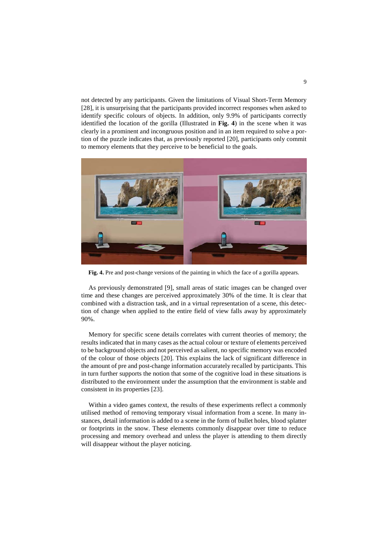not detected by any participants. Given the limitations of Visual Short-Term Memory [28], it is unsurprising that the participants provided incorrect responses when asked to identify specific colours of objects. In addition, only 9.9% of participants correctly identified the location of the gorilla (Illustrated in **[Fig. 4](#page-8-0)**) in the scene when it was clearly in a prominent and incongruous position and in an item required to solve a portion of the puzzle indicates that, as previously reported [20], participants only commit to memory elements that they perceive to be beneficial to the goals.



**Fig. 4.** Pre and post-change versions of the painting in which the face of a gorilla appears.

<span id="page-8-0"></span>As previously demonstrated [9], small areas of static images can be changed over time and these changes are perceived approximately 30% of the time. It is clear that combined with a distraction task, and in a virtual representation of a scene, this detection of change when applied to the entire field of view falls away by approximately 90%.

Memory for specific scene details correlates with current theories of memory; the results indicated that in many cases as the actual colour or texture of elements perceived to be background objects and not perceived as salient, no specific memory was encoded of the colour of those objects [20]. This explains the lack of significant difference in the amount of pre and post-change information accurately recalled by participants. This in turn further supports the notion that some of the cognitive load in these situations is distributed to the environment under the assumption that the environment is stable and consistent in its properties [23].

Within a video games context, the results of these experiments reflect a commonly utilised method of removing temporary visual information from a scene. In many instances, detail information is added to a scene in the form of bullet holes, blood splatter or footprints in the snow. These elements commonly disappear over time to reduce processing and memory overhead and unless the player is attending to them directly will disappear without the player noticing.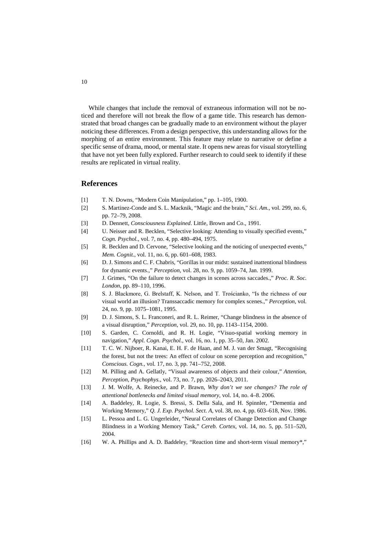While changes that include the removal of extraneous information will not be noticed and therefore will not break the flow of a game title. This research has demonstrated that broad changes can be gradually made to an environment without the player noticing these differences. From a design perspective, this understanding allows for the morphing of an entire environment. This feature may relate to narrative or define a specific sense of drama, mood, or mental state. It opens new areas for visual storytelling that have not yet been fully explored. Further research to could seek to identify if these results are replicated in virtual reality.

### **References**

- [1] T. N. Downs, "Modern Coin Manipulation," pp. 1–105, 1900.
- [2] S. Martinez-Conde and S. L. Macknik, "Magic and the brain," *Sci. Am.*, vol. 299, no. 6, pp. 72–79, 2008.
- [3] D. Dennett, *Consciousness Explained*. Little, Brown and Co., 1991.
- [4] U. Neisser and R. Becklen, "Selective looking: Attending to visually specified events," *Cogn. Psychol.*, vol. 7, no. 4, pp. 480–494, 1975.
- [5] R. Becklen and D. Cervone, "Selective looking and the noticing of unexpected events," *Mem. Cognit.*, vol. 11, no. 6, pp. 601–608, 1983.
- [6] D. J. Simons and C. F. Chabris, "Gorillas in our midst: sustained inattentional blindness for dynamic events.," *Perception*, vol. 28, no. 9, pp. 1059–74, Jan. 1999.
- [7] J. Grimes, "On the failure to detect changes in scenes across saccades.," *Proc. R. Soc. London*, pp. 89–110, 1996.
- [8] S. J. Blackmore, G. Brelstaff, K. Nelson, and T. Trościanko, "Is the richness of our visual world an illusion? Transsaccadic memory for complex scenes.," *Perception*, vol. 24, no. 9, pp. 1075–1081, 1995.
- [9] D. J. Simons, S. L. Franconeri, and R. L. Reimer, "Change blindness in the absence of a visual disruption," *Perception*, vol. 29, no. 10, pp. 1143–1154, 2000.
- [10] S. Garden, C. Cornoldi, and R. H. Logie, "Visuo-spatial working memory in navigation," *Appl. Cogn. Psychol.*, vol. 16, no. 1, pp. 35–50, Jan. 2002.
- [11] T. C. W. Nijboer, R. Kanai, E. H. F. de Haan, and M. J. van der Smagt, "Recognising the forest, but not the trees: An effect of colour on scene perception and recognition," *Conscious. Cogn.*, vol. 17, no. 3, pp. 741–752, 2008.
- [12] M. Pilling and A. Gellatly, "Visual awareness of objects and their colour," *Attention, Perception, Psychophys.*, vol. 73, no. 7, pp. 2026–2043, 2011.
- [13] J. M. Wolfe, A. Reinecke, and P. Brawn, *Why don't we see changes? The role of attentional bottlenecks and limited visual memory*, vol. 14, no. 4–8. 2006.
- [14] A. Baddeley, R. Logie, S. Bressi, S. Della Sala, and H. Spinnler, "Dementia and Working Memory," *Q. J. Exp. Psychol. Sect. A*, vol. 38, no. 4, pp. 603–618, Nov. 1986.
- [15] L. Pessoa and L. G. Ungerleider, "Neural Correlates of Change Detection and Change Blindness in a Working Memory Task," *Cereb. Cortex*, vol. 14, no. 5, pp. 511–520, 2004.
- [16] W. A. Phillips and A. D. Baddeley, "Reaction time and short-term visual memory\*,"